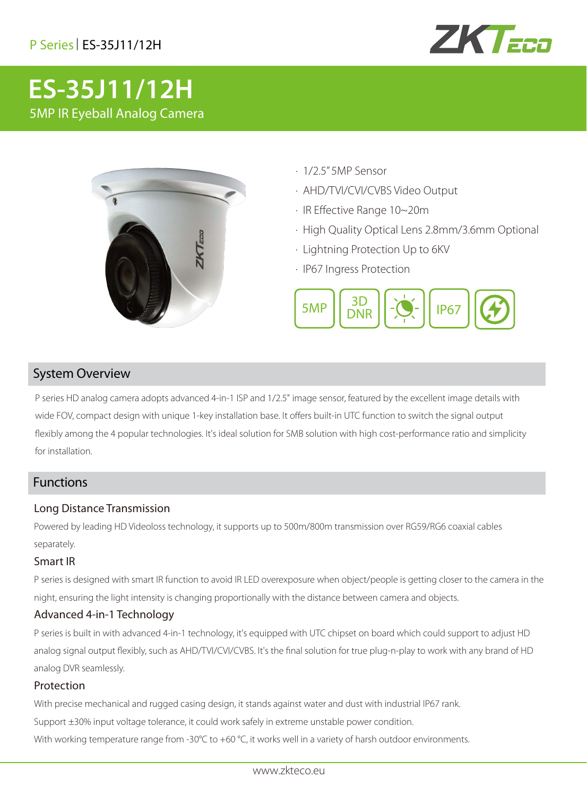# P Series| ES-35J11/12H



# **ES-35J11/12H** 5MP IR Eyeball Analog Camera



- · 1/2.5" 5MP Sensor
- · AHD/TVI/CVI/CVBS Video Output
- · IR Effective Range 10~20m
- · High Quality Optical Lens 2.8mm/3.6mm Optional
- · Lightning Protection Up to 6KV
- · IP67 Ingress Protection



## System Overview

P series HD analog camera adopts advanced 4-in-1 ISP and 1/2.5" image sensor, featured by the excellent image details with wide FOV, compact design with unique 1-key installation base. It offers built-in UTC function to switch the signal output flexibly among the 4 popular technologies. It's ideal solution for SMB solution with high cost-performance ratio and simplicity for installation.

## Functions

#### Long Distance Transmission

Powered by leading HD Videoloss technology, it supports up to 500m/800m transmission over RG59/RG6 coaxial cables separately.

#### Smart IR

P series is designed with smart IR function to avoid IR LED overexposure when object/people is getting closer to the camera in the night, ensuring the light intensity is changing proportionally with the distance between camera and objects.

#### Advanced 4-in-1 Technology

P series is built in with advanced 4-in-1 technology, it's equipped with UTC chipset on board which could support to adjust HD analog signal output flexibly, such as AHD/TVI/CVI/CVBS. It's the final solution for true plug-n-play to work with any brand of HD analog DVR seamlessly.

#### Protection

With precise mechanical and rugged casing design, it stands against water and dust with industrial IP67 rank.

Support ±30% input voltage tolerance, it could work safely in extreme unstable power condition.

With working temperature range from -30°C to +60 °C, it works well in a variety of harsh outdoor environments.